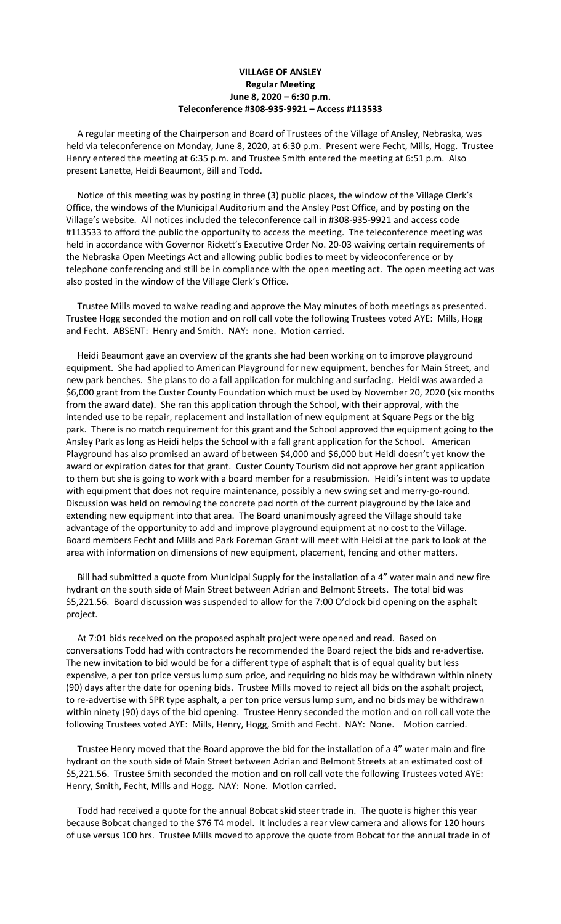## **VILLAGE OF ANSLEY Regular Meeting June 8, 2020 – 6:30 p.m. Teleconference #308-935-9921 – Access #113533**

 A regular meeting of the Chairperson and Board of Trustees of the Village of Ansley, Nebraska, was held via teleconference on Monday, June 8, 2020, at 6:30 p.m. Present were Fecht, Mills, Hogg. Trustee Henry entered the meeting at 6:35 p.m. and Trustee Smith entered the meeting at 6:51 p.m. Also present Lanette, Heidi Beaumont, Bill and Todd.

 Notice of this meeting was by posting in three (3) public places, the window of the Village Clerk's Office, the windows of the Municipal Auditorium and the Ansley Post Office, and by posting on the Village's website. All notices included the teleconference call in #308-935-9921 and access code #113533 to afford the public the opportunity to access the meeting. The teleconference meeting was held in accordance with Governor Rickett's Executive Order No. 20-03 waiving certain requirements of the Nebraska Open Meetings Act and allowing public bodies to meet by videoconference or by telephone conferencing and still be in compliance with the open meeting act. The open meeting act was also posted in the window of the Village Clerk's Office.

 Trustee Mills moved to waive reading and approve the May minutes of both meetings as presented. Trustee Hogg seconded the motion and on roll call vote the following Trustees voted AYE: Mills, Hogg and Fecht. ABSENT: Henry and Smith. NAY: none. Motion carried.

 Heidi Beaumont gave an overview of the grants she had been working on to improve playground equipment. She had applied to American Playground for new equipment, benches for Main Street, and new park benches. She plans to do a fall application for mulching and surfacing. Heidi was awarded a \$6,000 grant from the Custer County Foundation which must be used by November 20, 2020 (six months from the award date). She ran this application through the School, with their approval, with the intended use to be repair, replacement and installation of new equipment at Square Pegs or the big park. There is no match requirement for this grant and the School approved the equipment going to the Ansley Park as long as Heidi helps the School with a fall grant application for the School. American Playground has also promised an award of between \$4,000 and \$6,000 but Heidi doesn't yet know the award or expiration dates for that grant. Custer County Tourism did not approve her grant application to them but she is going to work with a board member for a resubmission. Heidi's intent was to update with equipment that does not require maintenance, possibly a new swing set and merry-go-round. Discussion was held on removing the concrete pad north of the current playground by the lake and extending new equipment into that area. The Board unanimously agreed the Village should take advantage of the opportunity to add and improve playground equipment at no cost to the Village. Board members Fecht and Mills and Park Foreman Grant will meet with Heidi at the park to look at the area with information on dimensions of new equipment, placement, fencing and other matters.

 Bill had submitted a quote from Municipal Supply for the installation of a 4" water main and new fire hydrant on the south side of Main Street between Adrian and Belmont Streets. The total bid was \$5,221.56. Board discussion was suspended to allow for the 7:00 O'clock bid opening on the asphalt project.

 At 7:01 bids received on the proposed asphalt project were opened and read. Based on conversations Todd had with contractors he recommended the Board reject the bids and re-advertise. The new invitation to bid would be for a different type of asphalt that is of equal quality but less expensive, a per ton price versus lump sum price, and requiring no bids may be withdrawn within ninety (90) days after the date for opening bids. Trustee Mills moved to reject all bids on the asphalt project, to re-advertise with SPR type asphalt, a per ton price versus lump sum, and no bids may be withdrawn within ninety (90) days of the bid opening. Trustee Henry seconded the motion and on roll call vote the following Trustees voted AYE: Mills, Henry, Hogg, Smith and Fecht. NAY: None. Motion carried.

 Trustee Henry moved that the Board approve the bid for the installation of a 4" water main and fire hydrant on the south side of Main Street between Adrian and Belmont Streets at an estimated cost of \$5,221.56. Trustee Smith seconded the motion and on roll call vote the following Trustees voted AYE: Henry, Smith, Fecht, Mills and Hogg. NAY: None. Motion carried.

 Todd had received a quote for the annual Bobcat skid steer trade in. The quote is higher this year because Bobcat changed to the S76 T4 model. It includes a rear view camera and allows for 120 hours of use versus 100 hrs. Trustee Mills moved to approve the quote from Bobcat for the annual trade in of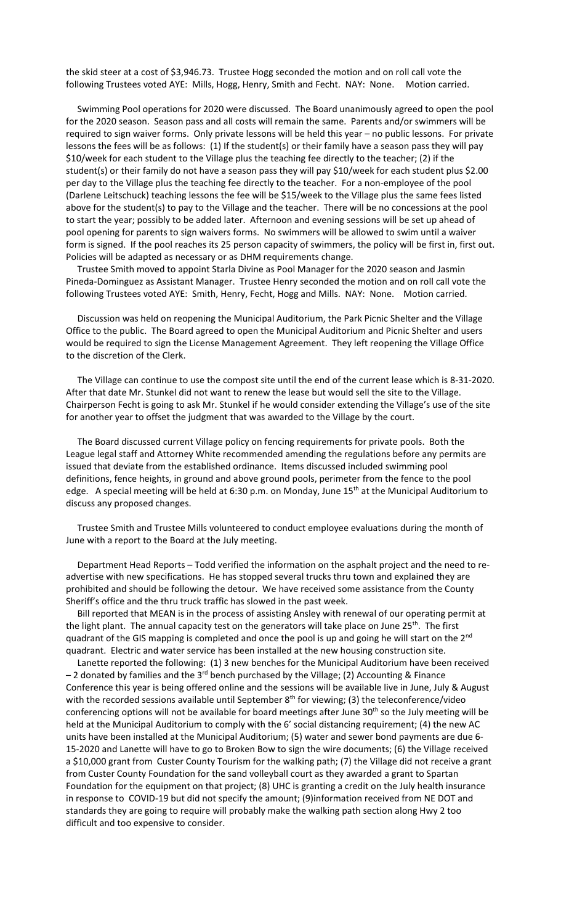the skid steer at a cost of \$3,946.73. Trustee Hogg seconded the motion and on roll call vote the following Trustees voted AYE: Mills, Hogg, Henry, Smith and Fecht. NAY: None. Motion carried.

 Swimming Pool operations for 2020 were discussed. The Board unanimously agreed to open the pool for the 2020 season. Season pass and all costs will remain the same. Parents and/or swimmers will be required to sign waiver forms. Only private lessons will be held this year – no public lessons. For private lessons the fees will be as follows: (1) If the student(s) or their family have a season pass they will pay \$10/week for each student to the Village plus the teaching fee directly to the teacher; (2) if the student(s) or their family do not have a season pass they will pay \$10/week for each student plus \$2.00 per day to the Village plus the teaching fee directly to the teacher. For a non-employee of the pool (Darlene Leitschuck) teaching lessons the fee will be \$15/week to the Village plus the same fees listed above for the student(s) to pay to the Village and the teacher. There will be no concessions at the pool to start the year; possibly to be added later. Afternoon and evening sessions will be set up ahead of pool opening for parents to sign waivers forms. No swimmers will be allowed to swim until a waiver form is signed. If the pool reaches its 25 person capacity of swimmers, the policy will be first in, first out. Policies will be adapted as necessary or as DHM requirements change.

 Trustee Smith moved to appoint Starla Divine as Pool Manager for the 2020 season and Jasmin Pineda-Dominguez as Assistant Manager. Trustee Henry seconded the motion and on roll call vote the following Trustees voted AYE: Smith, Henry, Fecht, Hogg and Mills. NAY: None. Motion carried.

 Discussion was held on reopening the Municipal Auditorium, the Park Picnic Shelter and the Village Office to the public. The Board agreed to open the Municipal Auditorium and Picnic Shelter and users would be required to sign the License Management Agreement. They left reopening the Village Office to the discretion of the Clerk.

 The Village can continue to use the compost site until the end of the current lease which is 8-31-2020. After that date Mr. Stunkel did not want to renew the lease but would sell the site to the Village. Chairperson Fecht is going to ask Mr. Stunkel if he would consider extending the Village's use of the site for another year to offset the judgment that was awarded to the Village by the court.

 The Board discussed current Village policy on fencing requirements for private pools. Both the League legal staff and Attorney White recommended amending the regulations before any permits are issued that deviate from the established ordinance. Items discussed included swimming pool definitions, fence heights, in ground and above ground pools, perimeter from the fence to the pool edge. A special meeting will be held at 6:30 p.m. on Monday, June 15<sup>th</sup> at the Municipal Auditorium to discuss any proposed changes.

 Trustee Smith and Trustee Mills volunteered to conduct employee evaluations during the month of June with a report to the Board at the July meeting.

 Department Head Reports – Todd verified the information on the asphalt project and the need to readvertise with new specifications. He has stopped several trucks thru town and explained they are prohibited and should be following the detour. We have received some assistance from the County Sheriff's office and the thru truck traffic has slowed in the past week.

 Bill reported that MEAN is in the process of assisting Ansley with renewal of our operating permit at the light plant. The annual capacity test on the generators will take place on June 25<sup>th</sup>. The first quadrant of the GIS mapping is completed and once the pool is up and going he will start on the 2<sup>nd</sup> quadrant. Electric and water service has been installed at the new housing construction site.

 Lanette reported the following: (1) 3 new benches for the Municipal Auditorium have been received  $-$  2 donated by families and the 3<sup>rd</sup> bench purchased by the Village; (2) Accounting & Finance Conference this year is being offered online and the sessions will be available live in June, July & August with the recorded sessions available until September  $8<sup>th</sup>$  for viewing; (3) the teleconference/video conferencing options will not be available for board meetings after June 30<sup>th</sup> so the July meeting will be held at the Municipal Auditorium to comply with the 6' social distancing requirement; (4) the new AC units have been installed at the Municipal Auditorium; (5) water and sewer bond payments are due 6- 15-2020 and Lanette will have to go to Broken Bow to sign the wire documents; (6) the Village received a \$10,000 grant from Custer County Tourism for the walking path; (7) the Village did not receive a grant from Custer County Foundation for the sand volleyball court as they awarded a grant to Spartan Foundation for the equipment on that project; (8) UHC is granting a credit on the July health insurance in response to COVID-19 but did not specify the amount; (9)information received from NE DOT and standards they are going to require will probably make the walking path section along Hwy 2 too difficult and too expensive to consider.